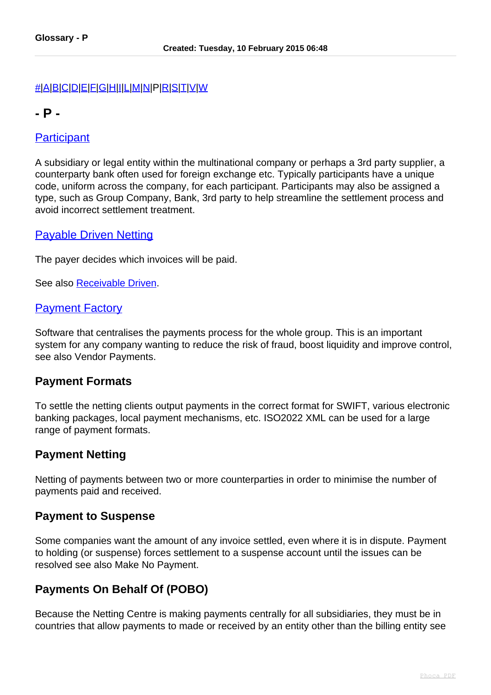#### [#](index.php?option=com_content&view=article&id=474&catid=40)[|A](index.php?option=com_content&view=article&id=475&catid=40)[|B](index.php?option=com_content&view=article&id=476&catid=40)|[C](index.php?option=com_content&view=article&id=477&catid=40)[|D](index.php?option=com_content&view=article&id=478&catid=40)[|E](index.php?option=com_content&view=article&id=479&catid=40)[|F|](index.php?option=com_content&view=article&id=480&catid=40)[G](index.php?option=com_content&view=article&id=481&catid=40)[|H|](index.php?option=com_content&view=article&id=482&catid=40)[I](index.php?option=com_content&view=article&id=483&catid=40)[|L](index.php?option=com_content&view=article&id=484&catid=40)[|M](index.php?option=com_content&view=article&id=485&catid=40)[|N|](index.php?option=com_content&view=article&id=486&catid=40)P[|R|](index.php?option=com_content&view=article&id=488&catid=40)[S](index.php?option=com_content&view=article&id=489&catid=40)[|T](index.php?option=com_content&view=article&id=490&catid=40)|[V|](index.php?option=com_content&view=article&id=491&catid=40)[W](index.php?option=com_content&view=article&id=492&catid=40)

# **- P -**

## **Participant**

A subsidiary or legal entity within the multinational company or perhaps a 3rd party supplier, a counterparty bank often used for foreign exchange etc. Typically participants have a unique code, uniform across the company, for each participant. Participants may also be assigned a type, such as Group Company, Bank, 3rd party to help streamline the settlement process and avoid incorrect settlement treatment.

## Payable Driven Netting

The payer decides which invoices will be paid.

See also [Receivable Driven.](index.php?option=com_content&view=article&id=488&catid=40#receivable_driven)

#### Payment Factory

Software that centralises the payments process for the whole group. This is an important system for any company wanting to reduce the risk of fraud, boost liquidity and improve control, see also Vendor Payments.

#### **Payment Formats**

To settle the netting clients output payments in the correct format for SWIFT, various electronic banking packages, local payment mechanisms, etc. ISO2022 XML can be used for a large range of payment formats.

#### **Payment Netting**

Netting of payments between two or more counterparties in order to minimise the number of payments paid and received.

#### **Payment to Suspense**

Some companies want the amount of any invoice settled, even where it is in dispute. Payment to holding (or suspense) forces settlement to a suspense account until the issues can be resolved see also Make No Payment.

# **Payments On Behalf Of (POBO)**

Because the Netting Centre is making payments centrally for all subsidiaries, they must be in countries that allow payments to made or received by an entity other than the billing entity see